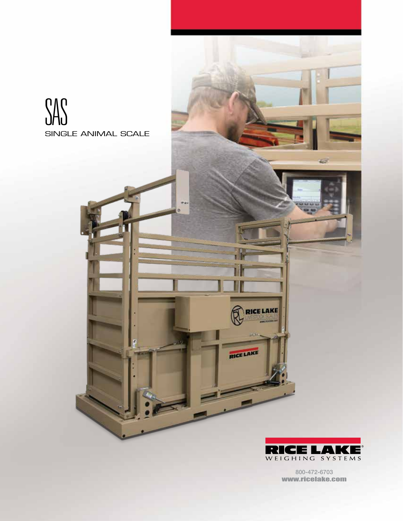



**RICE LAKE** 

RICE LAKE

800-472-6703 www.ricelake.com